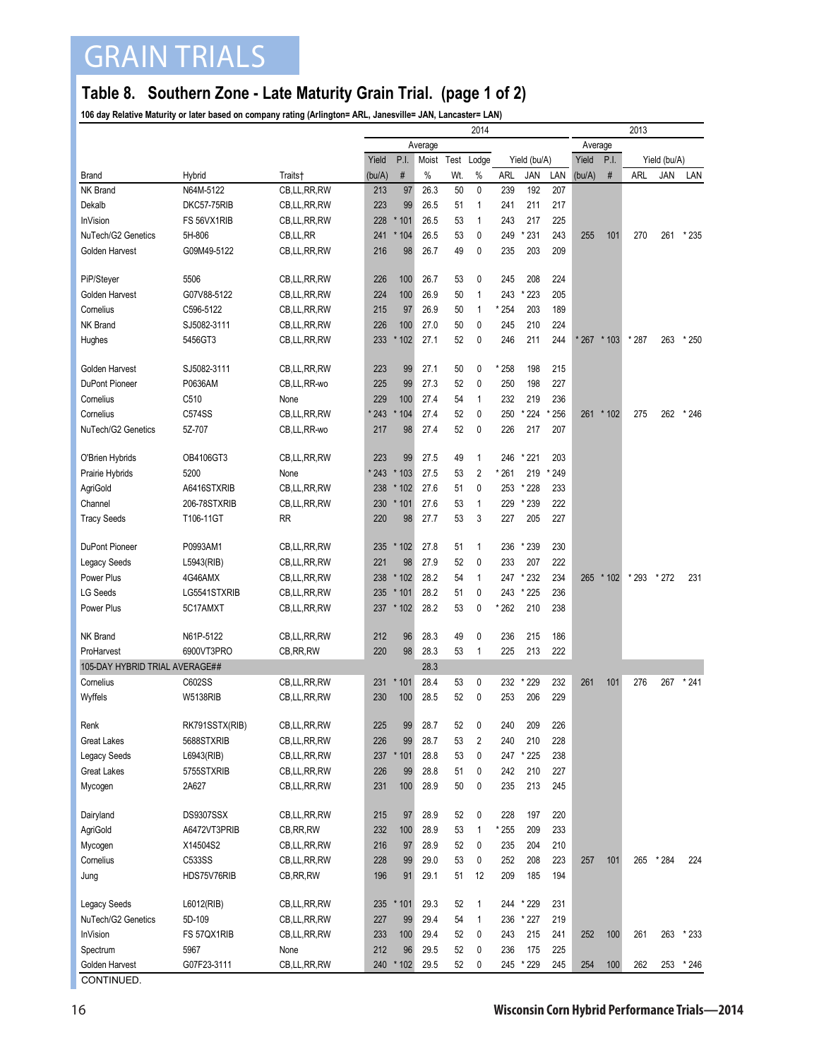## GRAIN TRIALS

## **Table 8. Southern Zone - Late Maturity Grain Trial. (page 1 of 2)**

**106 day Relative Maturity or later based on company rating (Arlington= ARL, Janesville= JAN, Lancaster= LAN)**

| Average<br>Average<br>P.I.<br>Yield<br>Yield<br>P.I.<br>Moist<br>Test<br>Lodge<br>Yield (bu/A)<br>Yield (bu/A)<br>$\#$<br>$\#$<br>$\%$<br>ARL<br>LAN<br>JAN<br>Hybrid<br>(bu/A)<br>Wt.<br>%<br>JAN<br>(bu/A)<br>ARL<br>LAN<br><b>Brand</b><br>Traits†<br>NK Brand<br>97<br>26.3<br>N64M-5122<br>CB,LL,RR,RW<br>213<br>50<br>0<br>239<br>192<br>207<br>223<br>Dekalb<br>DKC57-75RIB<br>99<br>26.5<br>241<br>211<br>217<br>CB, LL, RR, RW<br>51<br>1<br>53<br>217<br>225<br>InVision<br>FS 56VX1RIB<br>228<br>* 101<br>26.5<br>1<br>243<br>CB, LL, RR, RW<br>53<br>0<br>* 231<br>243<br>NuTech/G2 Genetics<br>5H-806<br>CB,LL,RR<br>241<br>104<br>26.5<br>249<br>255<br>101<br>270<br>261<br>$*235$<br>49<br>0<br>Golden Harvest<br>G09M49-5122<br>CB,LL,RR,RW<br>216<br>98<br>26.7<br>235<br>203<br>209<br>PiP/Steyer<br>5506<br>CB,LL,RR,RW<br>226<br>100<br>26.7<br>53<br>0<br>245<br>208<br>224<br>26.9<br>205<br>Golden Harvest<br>G07V88-5122<br>CB,LL,RR,RW<br>224<br>100<br>50<br>1<br>243<br>223<br>×<br>Cornelius<br>C596-5122<br>215<br>97<br>26.9<br>50<br>1<br>* 254<br>203<br>189<br>CB,LL,RR,RW<br>224<br>NK Brand<br>SJ5082-3111<br>226<br>100<br>27.0<br>50<br>0<br>210<br>CB,LL,RR,RW<br>245<br>102<br>27.1<br>52<br>0<br>211<br>244<br>* 287<br>5456GT3<br>233<br>×<br>246<br>$*267$<br>$*103$<br>263<br>$*250$<br>Hughes<br>CB,LL,RR,RW<br>SJ5082-3111<br>223<br>99<br>27.1<br>* 258<br>198<br>215<br>Golden Harvest<br>CB,LL,RR,RW<br>50<br>0<br>P0636AM<br>99<br>27.3<br>52<br>198<br>227<br>DuPont Pioneer<br>CB,LL,RR-wo<br>225<br>0<br>250<br>219<br>Cornelius<br>C510<br>229<br>100<br>27.4<br>54<br>232<br>236<br>None<br>1<br>* 243<br>52<br>0<br>* 224<br>256<br>$*246$<br>Cornelius<br>C574SS<br>CB, LL, RR, RW<br>104<br>27.4<br>250<br>261<br>$*102$<br>275<br>262<br>ź<br>52<br>NuTech/G2 Genetics<br>5Z-707<br>217<br>98<br>27.4<br>0<br>226<br>217<br>207<br>CB, LL, RR-wo<br>OB4106GT3<br>CB,LL,RR,RW<br>223<br>99<br>27.5<br>49<br>$\mathbf{1}$<br>* 221<br>203<br>O'Brien Hybrids<br>246<br>53<br>$\overline{2}$<br>5200<br>* 243<br>* 103<br>27.5<br>* 261<br>219<br>* 249<br>Prairie Hybrids<br>None<br><b>AgriGold</b><br>A6416STXRIB<br>CB, LL, RR, RW<br>238<br>102<br>27.6<br>51<br>0<br>253<br>* 228<br>233<br>206-78STXRIB<br>230<br>* 101<br>27.6<br>53<br>229<br>* 239<br>222<br>Channel<br>CB, LL, RR, RW<br>1<br>53<br>3<br>205<br>227<br><b>Tracy Seeds</b><br>T106-11GT<br><b>RR</b><br>220<br>98<br>27.7<br>227<br>* 239<br>230<br>DuPont Pioneer<br>P0993AM1<br>CB,LL,RR,RW<br>235<br>102<br>27.8<br>51<br>1<br>236<br>$\star$<br>52<br>0<br>233<br>207<br>222<br>221<br>98<br>27.9<br><b>Legacy Seeds</b><br>L5943(RIB)<br>CB,LL,RR,RW<br>* 232<br>234<br>Power Plus<br>238<br>* 102<br>28.2<br>54<br>1<br>247<br>265<br>* 293<br>$*272$<br>231<br>4G46AMX<br>CB,LL,RR,RW<br>$*102$<br><b>LG Seeds</b><br>28.2<br>$\mathbf{0}$<br>236<br>LG5541STXRIB<br>235<br>×<br>101<br>51<br>243<br>$*225$<br>CB, LL, RR, RW<br>Power Plus<br>5C17AMXT<br>237<br>* 102<br>28.2<br>53<br>0<br>* 262<br>210<br>238<br>CB, LL, RR, RW<br>NK Brand<br>N61P-5122<br>CB,LL,RR,RW<br>212<br>96<br>28.3<br>49<br>0<br>236<br>215<br>186<br>98<br>222<br>6900VT3PRO<br>CB, RR, RW<br>220<br>28.3<br>53<br>225<br>213<br>ProHarvest<br>1<br>105-DAY HYBRID TRIAL AVERAGE##<br>28.3<br>* 229<br>232<br>$*241$<br>C602SS<br>CB,LL,RR,RW<br>231<br>* 101<br>28.4<br>53<br>0<br>232<br>261<br>101<br>276<br>267<br>Cornelius<br>52<br>253<br>206<br>229<br>Wyffels<br><b>W5138RIB</b><br>CB,LL,RR,RW<br>230<br>100<br>28.5<br>0<br>99<br>52<br>0<br>225<br>28.7<br>240<br>209<br>RK791SSTX(RIB)<br>CB,LL,RR,RW<br>226<br>Renk<br>99<br>28.7<br>53<br>$\overline{2}$<br>210<br>228<br><b>Great Lakes</b><br>5688STXRIB<br>CB,LL,RR,RW<br>226<br>240<br>0<br>28.8<br>53<br>247<br>* 225<br>238<br><b>Legacy Seeds</b><br>L6943(RIB)<br>CB,LL,RR,RW<br>237<br>$*101$<br>28.8<br>$\pmb{0}$<br>242<br>210<br>227<br><b>Great Lakes</b><br>5755STXRIB<br>CB,LL,RR,RW<br>226<br>99<br>51<br>213<br>245<br>Mycogen<br>2A627<br>231<br>100<br>28.9<br>50<br>0<br>235<br>CB, LL, RR, RW<br>Dairyland<br>DS9307SSX<br>CB,LL,RR,RW<br>215<br>97<br>28.9<br>52<br>0<br>228<br>197<br>220<br>232<br>100<br>28.9<br>53<br>* 255<br>209<br>233<br>AgriGold<br>A6472VT3PRIB<br>CB, RR, RW<br>$\mathbf{1}$<br>216<br>28.9<br>52<br>0<br>204<br>210<br>Mycogen<br>X14504S2<br>CB,LL,RR,RW<br>97<br>235<br>$\pmb{0}$<br>C533SS<br>99<br>53<br>208<br>223<br>* 284<br>Cornelius<br>CB,LL,RR,RW<br>228<br>29.0<br>252<br>257<br>101<br>265<br>224<br>196<br>29.1<br>12<br>185<br>194<br>HDS75V76RIB<br>CB, RR, RW<br>91<br>51<br>209<br>Jung<br>235<br>* 101<br>29.3<br>* 229<br>Legacy Seeds<br>L6012(RIB)<br>CB,LL,RR,RW<br>52<br>1<br>231<br>244<br>29.4<br>NuTech/G2 Genetics<br>5D-109<br>227<br>99<br>54<br>1<br>236<br>* 227<br>219<br>CB,LL,RR,RW<br>29.4<br>52<br>0<br>215<br><b>InVision</b><br>FS 57QX1RIB<br>233<br>100<br>243<br>241<br>252<br>100<br>261<br>263<br>$*233$<br>CB,LL,RR,RW<br>212<br>96<br>29.5<br>52<br>0<br>236<br>175<br>225<br>Spectrum<br>5967<br>None<br>245<br>G07F23-3111<br>CB,LL,RR,RW<br>240<br>$*102$<br>29.5<br>52<br>0<br>245 * 229<br>254<br>100<br>262<br>253<br>* 246<br>Golden Harvest |  |  | 2014 |  |  |  |  |  | 2013 |  |  |  |  |  |
|--------------------------------------------------------------------------------------------------------------------------------------------------------------------------------------------------------------------------------------------------------------------------------------------------------------------------------------------------------------------------------------------------------------------------------------------------------------------------------------------------------------------------------------------------------------------------------------------------------------------------------------------------------------------------------------------------------------------------------------------------------------------------------------------------------------------------------------------------------------------------------------------------------------------------------------------------------------------------------------------------------------------------------------------------------------------------------------------------------------------------------------------------------------------------------------------------------------------------------------------------------------------------------------------------------------------------------------------------------------------------------------------------------------------------------------------------------------------------------------------------------------------------------------------------------------------------------------------------------------------------------------------------------------------------------------------------------------------------------------------------------------------------------------------------------------------------------------------------------------------------------------------------------------------------------------------------------------------------------------------------------------------------------------------------------------------------------------------------------------------------------------------------------------------------------------------------------------------------------------------------------------------------------------------------------------------------------------------------------------------------------------------------------------------------------------------------------------------------------------------------------------------------------------------------------------------------------------------------------------------------------------------------------------------------------------------------------------------------------------------------------------------------------------------------------------------------------------------------------------------------------------------------------------------------------------------------------------------------------------------------------------------------------------------------------------------------------------------------------------------------------------------------------------------------------------------------------------------------------------------------------------------------------------------------------------------------------------------------------------------------------------------------------------------------------------------------------------------------------------------------------------------------------------------------------------------------------------------------------------------------------------------------------------------------------------------------------------------------------------------------------------------------------------------------------------------------------------------------------------------------------------------------------------------------------------------------------------------------------------------------------------------------------------------------------------------------------------------------------------------------------------------------------------------------------------------------------------------------------------------------------------------------------------------------------------------------------------------------------------------------------------------------------------------------------------------------------------------------------------------------------------------------------------------------------------------------------------------------------------------------------------------------------------------------------------------------------------------------------------------------------------------------------------------------------------------------------------------------------------------------------------------------------------------------------------------------------------------------------------------------------------------------------------------------------------------------------------------------------------------------------------------------------------------------------------------------------------------------------------------|--|--|------|--|--|--|--|--|------|--|--|--|--|--|
|                                                                                                                                                                                                                                                                                                                                                                                                                                                                                                                                                                                                                                                                                                                                                                                                                                                                                                                                                                                                                                                                                                                                                                                                                                                                                                                                                                                                                                                                                                                                                                                                                                                                                                                                                                                                                                                                                                                                                                                                                                                                                                                                                                                                                                                                                                                                                                                                                                                                                                                                                                                                                                                                                                                                                                                                                                                                                                                                                                                                                                                                                                                                                                                                                                                                                                                                                                                                                                                                                                                                                                                                                                                                                                                                                                                                                                                                                                                                                                                                                                                                                                                                                                                                                                                                                                                                                                                                                                                                                                                                                                                                                                                                                                                                                                                                                                                                                                                                                                                                                                                                                                                                                                                                                                            |  |  |      |  |  |  |  |  |      |  |  |  |  |  |
|                                                                                                                                                                                                                                                                                                                                                                                                                                                                                                                                                                                                                                                                                                                                                                                                                                                                                                                                                                                                                                                                                                                                                                                                                                                                                                                                                                                                                                                                                                                                                                                                                                                                                                                                                                                                                                                                                                                                                                                                                                                                                                                                                                                                                                                                                                                                                                                                                                                                                                                                                                                                                                                                                                                                                                                                                                                                                                                                                                                                                                                                                                                                                                                                                                                                                                                                                                                                                                                                                                                                                                                                                                                                                                                                                                                                                                                                                                                                                                                                                                                                                                                                                                                                                                                                                                                                                                                                                                                                                                                                                                                                                                                                                                                                                                                                                                                                                                                                                                                                                                                                                                                                                                                                                                            |  |  |      |  |  |  |  |  |      |  |  |  |  |  |
|                                                                                                                                                                                                                                                                                                                                                                                                                                                                                                                                                                                                                                                                                                                                                                                                                                                                                                                                                                                                                                                                                                                                                                                                                                                                                                                                                                                                                                                                                                                                                                                                                                                                                                                                                                                                                                                                                                                                                                                                                                                                                                                                                                                                                                                                                                                                                                                                                                                                                                                                                                                                                                                                                                                                                                                                                                                                                                                                                                                                                                                                                                                                                                                                                                                                                                                                                                                                                                                                                                                                                                                                                                                                                                                                                                                                                                                                                                                                                                                                                                                                                                                                                                                                                                                                                                                                                                                                                                                                                                                                                                                                                                                                                                                                                                                                                                                                                                                                                                                                                                                                                                                                                                                                                                            |  |  |      |  |  |  |  |  |      |  |  |  |  |  |
|                                                                                                                                                                                                                                                                                                                                                                                                                                                                                                                                                                                                                                                                                                                                                                                                                                                                                                                                                                                                                                                                                                                                                                                                                                                                                                                                                                                                                                                                                                                                                                                                                                                                                                                                                                                                                                                                                                                                                                                                                                                                                                                                                                                                                                                                                                                                                                                                                                                                                                                                                                                                                                                                                                                                                                                                                                                                                                                                                                                                                                                                                                                                                                                                                                                                                                                                                                                                                                                                                                                                                                                                                                                                                                                                                                                                                                                                                                                                                                                                                                                                                                                                                                                                                                                                                                                                                                                                                                                                                                                                                                                                                                                                                                                                                                                                                                                                                                                                                                                                                                                                                                                                                                                                                                            |  |  |      |  |  |  |  |  |      |  |  |  |  |  |
|                                                                                                                                                                                                                                                                                                                                                                                                                                                                                                                                                                                                                                                                                                                                                                                                                                                                                                                                                                                                                                                                                                                                                                                                                                                                                                                                                                                                                                                                                                                                                                                                                                                                                                                                                                                                                                                                                                                                                                                                                                                                                                                                                                                                                                                                                                                                                                                                                                                                                                                                                                                                                                                                                                                                                                                                                                                                                                                                                                                                                                                                                                                                                                                                                                                                                                                                                                                                                                                                                                                                                                                                                                                                                                                                                                                                                                                                                                                                                                                                                                                                                                                                                                                                                                                                                                                                                                                                                                                                                                                                                                                                                                                                                                                                                                                                                                                                                                                                                                                                                                                                                                                                                                                                                                            |  |  |      |  |  |  |  |  |      |  |  |  |  |  |
|                                                                                                                                                                                                                                                                                                                                                                                                                                                                                                                                                                                                                                                                                                                                                                                                                                                                                                                                                                                                                                                                                                                                                                                                                                                                                                                                                                                                                                                                                                                                                                                                                                                                                                                                                                                                                                                                                                                                                                                                                                                                                                                                                                                                                                                                                                                                                                                                                                                                                                                                                                                                                                                                                                                                                                                                                                                                                                                                                                                                                                                                                                                                                                                                                                                                                                                                                                                                                                                                                                                                                                                                                                                                                                                                                                                                                                                                                                                                                                                                                                                                                                                                                                                                                                                                                                                                                                                                                                                                                                                                                                                                                                                                                                                                                                                                                                                                                                                                                                                                                                                                                                                                                                                                                                            |  |  |      |  |  |  |  |  |      |  |  |  |  |  |
|                                                                                                                                                                                                                                                                                                                                                                                                                                                                                                                                                                                                                                                                                                                                                                                                                                                                                                                                                                                                                                                                                                                                                                                                                                                                                                                                                                                                                                                                                                                                                                                                                                                                                                                                                                                                                                                                                                                                                                                                                                                                                                                                                                                                                                                                                                                                                                                                                                                                                                                                                                                                                                                                                                                                                                                                                                                                                                                                                                                                                                                                                                                                                                                                                                                                                                                                                                                                                                                                                                                                                                                                                                                                                                                                                                                                                                                                                                                                                                                                                                                                                                                                                                                                                                                                                                                                                                                                                                                                                                                                                                                                                                                                                                                                                                                                                                                                                                                                                                                                                                                                                                                                                                                                                                            |  |  |      |  |  |  |  |  |      |  |  |  |  |  |
|                                                                                                                                                                                                                                                                                                                                                                                                                                                                                                                                                                                                                                                                                                                                                                                                                                                                                                                                                                                                                                                                                                                                                                                                                                                                                                                                                                                                                                                                                                                                                                                                                                                                                                                                                                                                                                                                                                                                                                                                                                                                                                                                                                                                                                                                                                                                                                                                                                                                                                                                                                                                                                                                                                                                                                                                                                                                                                                                                                                                                                                                                                                                                                                                                                                                                                                                                                                                                                                                                                                                                                                                                                                                                                                                                                                                                                                                                                                                                                                                                                                                                                                                                                                                                                                                                                                                                                                                                                                                                                                                                                                                                                                                                                                                                                                                                                                                                                                                                                                                                                                                                                                                                                                                                                            |  |  |      |  |  |  |  |  |      |  |  |  |  |  |
|                                                                                                                                                                                                                                                                                                                                                                                                                                                                                                                                                                                                                                                                                                                                                                                                                                                                                                                                                                                                                                                                                                                                                                                                                                                                                                                                                                                                                                                                                                                                                                                                                                                                                                                                                                                                                                                                                                                                                                                                                                                                                                                                                                                                                                                                                                                                                                                                                                                                                                                                                                                                                                                                                                                                                                                                                                                                                                                                                                                                                                                                                                                                                                                                                                                                                                                                                                                                                                                                                                                                                                                                                                                                                                                                                                                                                                                                                                                                                                                                                                                                                                                                                                                                                                                                                                                                                                                                                                                                                                                                                                                                                                                                                                                                                                                                                                                                                                                                                                                                                                                                                                                                                                                                                                            |  |  |      |  |  |  |  |  |      |  |  |  |  |  |
|                                                                                                                                                                                                                                                                                                                                                                                                                                                                                                                                                                                                                                                                                                                                                                                                                                                                                                                                                                                                                                                                                                                                                                                                                                                                                                                                                                                                                                                                                                                                                                                                                                                                                                                                                                                                                                                                                                                                                                                                                                                                                                                                                                                                                                                                                                                                                                                                                                                                                                                                                                                                                                                                                                                                                                                                                                                                                                                                                                                                                                                                                                                                                                                                                                                                                                                                                                                                                                                                                                                                                                                                                                                                                                                                                                                                                                                                                                                                                                                                                                                                                                                                                                                                                                                                                                                                                                                                                                                                                                                                                                                                                                                                                                                                                                                                                                                                                                                                                                                                                                                                                                                                                                                                                                            |  |  |      |  |  |  |  |  |      |  |  |  |  |  |
|                                                                                                                                                                                                                                                                                                                                                                                                                                                                                                                                                                                                                                                                                                                                                                                                                                                                                                                                                                                                                                                                                                                                                                                                                                                                                                                                                                                                                                                                                                                                                                                                                                                                                                                                                                                                                                                                                                                                                                                                                                                                                                                                                                                                                                                                                                                                                                                                                                                                                                                                                                                                                                                                                                                                                                                                                                                                                                                                                                                                                                                                                                                                                                                                                                                                                                                                                                                                                                                                                                                                                                                                                                                                                                                                                                                                                                                                                                                                                                                                                                                                                                                                                                                                                                                                                                                                                                                                                                                                                                                                                                                                                                                                                                                                                                                                                                                                                                                                                                                                                                                                                                                                                                                                                                            |  |  |      |  |  |  |  |  |      |  |  |  |  |  |
|                                                                                                                                                                                                                                                                                                                                                                                                                                                                                                                                                                                                                                                                                                                                                                                                                                                                                                                                                                                                                                                                                                                                                                                                                                                                                                                                                                                                                                                                                                                                                                                                                                                                                                                                                                                                                                                                                                                                                                                                                                                                                                                                                                                                                                                                                                                                                                                                                                                                                                                                                                                                                                                                                                                                                                                                                                                                                                                                                                                                                                                                                                                                                                                                                                                                                                                                                                                                                                                                                                                                                                                                                                                                                                                                                                                                                                                                                                                                                                                                                                                                                                                                                                                                                                                                                                                                                                                                                                                                                                                                                                                                                                                                                                                                                                                                                                                                                                                                                                                                                                                                                                                                                                                                                                            |  |  |      |  |  |  |  |  |      |  |  |  |  |  |
|                                                                                                                                                                                                                                                                                                                                                                                                                                                                                                                                                                                                                                                                                                                                                                                                                                                                                                                                                                                                                                                                                                                                                                                                                                                                                                                                                                                                                                                                                                                                                                                                                                                                                                                                                                                                                                                                                                                                                                                                                                                                                                                                                                                                                                                                                                                                                                                                                                                                                                                                                                                                                                                                                                                                                                                                                                                                                                                                                                                                                                                                                                                                                                                                                                                                                                                                                                                                                                                                                                                                                                                                                                                                                                                                                                                                                                                                                                                                                                                                                                                                                                                                                                                                                                                                                                                                                                                                                                                                                                                                                                                                                                                                                                                                                                                                                                                                                                                                                                                                                                                                                                                                                                                                                                            |  |  |      |  |  |  |  |  |      |  |  |  |  |  |
|                                                                                                                                                                                                                                                                                                                                                                                                                                                                                                                                                                                                                                                                                                                                                                                                                                                                                                                                                                                                                                                                                                                                                                                                                                                                                                                                                                                                                                                                                                                                                                                                                                                                                                                                                                                                                                                                                                                                                                                                                                                                                                                                                                                                                                                                                                                                                                                                                                                                                                                                                                                                                                                                                                                                                                                                                                                                                                                                                                                                                                                                                                                                                                                                                                                                                                                                                                                                                                                                                                                                                                                                                                                                                                                                                                                                                                                                                                                                                                                                                                                                                                                                                                                                                                                                                                                                                                                                                                                                                                                                                                                                                                                                                                                                                                                                                                                                                                                                                                                                                                                                                                                                                                                                                                            |  |  |      |  |  |  |  |  |      |  |  |  |  |  |
|                                                                                                                                                                                                                                                                                                                                                                                                                                                                                                                                                                                                                                                                                                                                                                                                                                                                                                                                                                                                                                                                                                                                                                                                                                                                                                                                                                                                                                                                                                                                                                                                                                                                                                                                                                                                                                                                                                                                                                                                                                                                                                                                                                                                                                                                                                                                                                                                                                                                                                                                                                                                                                                                                                                                                                                                                                                                                                                                                                                                                                                                                                                                                                                                                                                                                                                                                                                                                                                                                                                                                                                                                                                                                                                                                                                                                                                                                                                                                                                                                                                                                                                                                                                                                                                                                                                                                                                                                                                                                                                                                                                                                                                                                                                                                                                                                                                                                                                                                                                                                                                                                                                                                                                                                                            |  |  |      |  |  |  |  |  |      |  |  |  |  |  |
|                                                                                                                                                                                                                                                                                                                                                                                                                                                                                                                                                                                                                                                                                                                                                                                                                                                                                                                                                                                                                                                                                                                                                                                                                                                                                                                                                                                                                                                                                                                                                                                                                                                                                                                                                                                                                                                                                                                                                                                                                                                                                                                                                                                                                                                                                                                                                                                                                                                                                                                                                                                                                                                                                                                                                                                                                                                                                                                                                                                                                                                                                                                                                                                                                                                                                                                                                                                                                                                                                                                                                                                                                                                                                                                                                                                                                                                                                                                                                                                                                                                                                                                                                                                                                                                                                                                                                                                                                                                                                                                                                                                                                                                                                                                                                                                                                                                                                                                                                                                                                                                                                                                                                                                                                                            |  |  |      |  |  |  |  |  |      |  |  |  |  |  |
|                                                                                                                                                                                                                                                                                                                                                                                                                                                                                                                                                                                                                                                                                                                                                                                                                                                                                                                                                                                                                                                                                                                                                                                                                                                                                                                                                                                                                                                                                                                                                                                                                                                                                                                                                                                                                                                                                                                                                                                                                                                                                                                                                                                                                                                                                                                                                                                                                                                                                                                                                                                                                                                                                                                                                                                                                                                                                                                                                                                                                                                                                                                                                                                                                                                                                                                                                                                                                                                                                                                                                                                                                                                                                                                                                                                                                                                                                                                                                                                                                                                                                                                                                                                                                                                                                                                                                                                                                                                                                                                                                                                                                                                                                                                                                                                                                                                                                                                                                                                                                                                                                                                                                                                                                                            |  |  |      |  |  |  |  |  |      |  |  |  |  |  |
|                                                                                                                                                                                                                                                                                                                                                                                                                                                                                                                                                                                                                                                                                                                                                                                                                                                                                                                                                                                                                                                                                                                                                                                                                                                                                                                                                                                                                                                                                                                                                                                                                                                                                                                                                                                                                                                                                                                                                                                                                                                                                                                                                                                                                                                                                                                                                                                                                                                                                                                                                                                                                                                                                                                                                                                                                                                                                                                                                                                                                                                                                                                                                                                                                                                                                                                                                                                                                                                                                                                                                                                                                                                                                                                                                                                                                                                                                                                                                                                                                                                                                                                                                                                                                                                                                                                                                                                                                                                                                                                                                                                                                                                                                                                                                                                                                                                                                                                                                                                                                                                                                                                                                                                                                                            |  |  |      |  |  |  |  |  |      |  |  |  |  |  |
|                                                                                                                                                                                                                                                                                                                                                                                                                                                                                                                                                                                                                                                                                                                                                                                                                                                                                                                                                                                                                                                                                                                                                                                                                                                                                                                                                                                                                                                                                                                                                                                                                                                                                                                                                                                                                                                                                                                                                                                                                                                                                                                                                                                                                                                                                                                                                                                                                                                                                                                                                                                                                                                                                                                                                                                                                                                                                                                                                                                                                                                                                                                                                                                                                                                                                                                                                                                                                                                                                                                                                                                                                                                                                                                                                                                                                                                                                                                                                                                                                                                                                                                                                                                                                                                                                                                                                                                                                                                                                                                                                                                                                                                                                                                                                                                                                                                                                                                                                                                                                                                                                                                                                                                                                                            |  |  |      |  |  |  |  |  |      |  |  |  |  |  |
|                                                                                                                                                                                                                                                                                                                                                                                                                                                                                                                                                                                                                                                                                                                                                                                                                                                                                                                                                                                                                                                                                                                                                                                                                                                                                                                                                                                                                                                                                                                                                                                                                                                                                                                                                                                                                                                                                                                                                                                                                                                                                                                                                                                                                                                                                                                                                                                                                                                                                                                                                                                                                                                                                                                                                                                                                                                                                                                                                                                                                                                                                                                                                                                                                                                                                                                                                                                                                                                                                                                                                                                                                                                                                                                                                                                                                                                                                                                                                                                                                                                                                                                                                                                                                                                                                                                                                                                                                                                                                                                                                                                                                                                                                                                                                                                                                                                                                                                                                                                                                                                                                                                                                                                                                                            |  |  |      |  |  |  |  |  |      |  |  |  |  |  |
|                                                                                                                                                                                                                                                                                                                                                                                                                                                                                                                                                                                                                                                                                                                                                                                                                                                                                                                                                                                                                                                                                                                                                                                                                                                                                                                                                                                                                                                                                                                                                                                                                                                                                                                                                                                                                                                                                                                                                                                                                                                                                                                                                                                                                                                                                                                                                                                                                                                                                                                                                                                                                                                                                                                                                                                                                                                                                                                                                                                                                                                                                                                                                                                                                                                                                                                                                                                                                                                                                                                                                                                                                                                                                                                                                                                                                                                                                                                                                                                                                                                                                                                                                                                                                                                                                                                                                                                                                                                                                                                                                                                                                                                                                                                                                                                                                                                                                                                                                                                                                                                                                                                                                                                                                                            |  |  |      |  |  |  |  |  |      |  |  |  |  |  |
|                                                                                                                                                                                                                                                                                                                                                                                                                                                                                                                                                                                                                                                                                                                                                                                                                                                                                                                                                                                                                                                                                                                                                                                                                                                                                                                                                                                                                                                                                                                                                                                                                                                                                                                                                                                                                                                                                                                                                                                                                                                                                                                                                                                                                                                                                                                                                                                                                                                                                                                                                                                                                                                                                                                                                                                                                                                                                                                                                                                                                                                                                                                                                                                                                                                                                                                                                                                                                                                                                                                                                                                                                                                                                                                                                                                                                                                                                                                                                                                                                                                                                                                                                                                                                                                                                                                                                                                                                                                                                                                                                                                                                                                                                                                                                                                                                                                                                                                                                                                                                                                                                                                                                                                                                                            |  |  |      |  |  |  |  |  |      |  |  |  |  |  |
|                                                                                                                                                                                                                                                                                                                                                                                                                                                                                                                                                                                                                                                                                                                                                                                                                                                                                                                                                                                                                                                                                                                                                                                                                                                                                                                                                                                                                                                                                                                                                                                                                                                                                                                                                                                                                                                                                                                                                                                                                                                                                                                                                                                                                                                                                                                                                                                                                                                                                                                                                                                                                                                                                                                                                                                                                                                                                                                                                                                                                                                                                                                                                                                                                                                                                                                                                                                                                                                                                                                                                                                                                                                                                                                                                                                                                                                                                                                                                                                                                                                                                                                                                                                                                                                                                                                                                                                                                                                                                                                                                                                                                                                                                                                                                                                                                                                                                                                                                                                                                                                                                                                                                                                                                                            |  |  |      |  |  |  |  |  |      |  |  |  |  |  |
|                                                                                                                                                                                                                                                                                                                                                                                                                                                                                                                                                                                                                                                                                                                                                                                                                                                                                                                                                                                                                                                                                                                                                                                                                                                                                                                                                                                                                                                                                                                                                                                                                                                                                                                                                                                                                                                                                                                                                                                                                                                                                                                                                                                                                                                                                                                                                                                                                                                                                                                                                                                                                                                                                                                                                                                                                                                                                                                                                                                                                                                                                                                                                                                                                                                                                                                                                                                                                                                                                                                                                                                                                                                                                                                                                                                                                                                                                                                                                                                                                                                                                                                                                                                                                                                                                                                                                                                                                                                                                                                                                                                                                                                                                                                                                                                                                                                                                                                                                                                                                                                                                                                                                                                                                                            |  |  |      |  |  |  |  |  |      |  |  |  |  |  |
|                                                                                                                                                                                                                                                                                                                                                                                                                                                                                                                                                                                                                                                                                                                                                                                                                                                                                                                                                                                                                                                                                                                                                                                                                                                                                                                                                                                                                                                                                                                                                                                                                                                                                                                                                                                                                                                                                                                                                                                                                                                                                                                                                                                                                                                                                                                                                                                                                                                                                                                                                                                                                                                                                                                                                                                                                                                                                                                                                                                                                                                                                                                                                                                                                                                                                                                                                                                                                                                                                                                                                                                                                                                                                                                                                                                                                                                                                                                                                                                                                                                                                                                                                                                                                                                                                                                                                                                                                                                                                                                                                                                                                                                                                                                                                                                                                                                                                                                                                                                                                                                                                                                                                                                                                                            |  |  |      |  |  |  |  |  |      |  |  |  |  |  |
|                                                                                                                                                                                                                                                                                                                                                                                                                                                                                                                                                                                                                                                                                                                                                                                                                                                                                                                                                                                                                                                                                                                                                                                                                                                                                                                                                                                                                                                                                                                                                                                                                                                                                                                                                                                                                                                                                                                                                                                                                                                                                                                                                                                                                                                                                                                                                                                                                                                                                                                                                                                                                                                                                                                                                                                                                                                                                                                                                                                                                                                                                                                                                                                                                                                                                                                                                                                                                                                                                                                                                                                                                                                                                                                                                                                                                                                                                                                                                                                                                                                                                                                                                                                                                                                                                                                                                                                                                                                                                                                                                                                                                                                                                                                                                                                                                                                                                                                                                                                                                                                                                                                                                                                                                                            |  |  |      |  |  |  |  |  |      |  |  |  |  |  |
|                                                                                                                                                                                                                                                                                                                                                                                                                                                                                                                                                                                                                                                                                                                                                                                                                                                                                                                                                                                                                                                                                                                                                                                                                                                                                                                                                                                                                                                                                                                                                                                                                                                                                                                                                                                                                                                                                                                                                                                                                                                                                                                                                                                                                                                                                                                                                                                                                                                                                                                                                                                                                                                                                                                                                                                                                                                                                                                                                                                                                                                                                                                                                                                                                                                                                                                                                                                                                                                                                                                                                                                                                                                                                                                                                                                                                                                                                                                                                                                                                                                                                                                                                                                                                                                                                                                                                                                                                                                                                                                                                                                                                                                                                                                                                                                                                                                                                                                                                                                                                                                                                                                                                                                                                                            |  |  |      |  |  |  |  |  |      |  |  |  |  |  |
|                                                                                                                                                                                                                                                                                                                                                                                                                                                                                                                                                                                                                                                                                                                                                                                                                                                                                                                                                                                                                                                                                                                                                                                                                                                                                                                                                                                                                                                                                                                                                                                                                                                                                                                                                                                                                                                                                                                                                                                                                                                                                                                                                                                                                                                                                                                                                                                                                                                                                                                                                                                                                                                                                                                                                                                                                                                                                                                                                                                                                                                                                                                                                                                                                                                                                                                                                                                                                                                                                                                                                                                                                                                                                                                                                                                                                                                                                                                                                                                                                                                                                                                                                                                                                                                                                                                                                                                                                                                                                                                                                                                                                                                                                                                                                                                                                                                                                                                                                                                                                                                                                                                                                                                                                                            |  |  |      |  |  |  |  |  |      |  |  |  |  |  |
|                                                                                                                                                                                                                                                                                                                                                                                                                                                                                                                                                                                                                                                                                                                                                                                                                                                                                                                                                                                                                                                                                                                                                                                                                                                                                                                                                                                                                                                                                                                                                                                                                                                                                                                                                                                                                                                                                                                                                                                                                                                                                                                                                                                                                                                                                                                                                                                                                                                                                                                                                                                                                                                                                                                                                                                                                                                                                                                                                                                                                                                                                                                                                                                                                                                                                                                                                                                                                                                                                                                                                                                                                                                                                                                                                                                                                                                                                                                                                                                                                                                                                                                                                                                                                                                                                                                                                                                                                                                                                                                                                                                                                                                                                                                                                                                                                                                                                                                                                                                                                                                                                                                                                                                                                                            |  |  |      |  |  |  |  |  |      |  |  |  |  |  |
|                                                                                                                                                                                                                                                                                                                                                                                                                                                                                                                                                                                                                                                                                                                                                                                                                                                                                                                                                                                                                                                                                                                                                                                                                                                                                                                                                                                                                                                                                                                                                                                                                                                                                                                                                                                                                                                                                                                                                                                                                                                                                                                                                                                                                                                                                                                                                                                                                                                                                                                                                                                                                                                                                                                                                                                                                                                                                                                                                                                                                                                                                                                                                                                                                                                                                                                                                                                                                                                                                                                                                                                                                                                                                                                                                                                                                                                                                                                                                                                                                                                                                                                                                                                                                                                                                                                                                                                                                                                                                                                                                                                                                                                                                                                                                                                                                                                                                                                                                                                                                                                                                                                                                                                                                                            |  |  |      |  |  |  |  |  |      |  |  |  |  |  |
|                                                                                                                                                                                                                                                                                                                                                                                                                                                                                                                                                                                                                                                                                                                                                                                                                                                                                                                                                                                                                                                                                                                                                                                                                                                                                                                                                                                                                                                                                                                                                                                                                                                                                                                                                                                                                                                                                                                                                                                                                                                                                                                                                                                                                                                                                                                                                                                                                                                                                                                                                                                                                                                                                                                                                                                                                                                                                                                                                                                                                                                                                                                                                                                                                                                                                                                                                                                                                                                                                                                                                                                                                                                                                                                                                                                                                                                                                                                                                                                                                                                                                                                                                                                                                                                                                                                                                                                                                                                                                                                                                                                                                                                                                                                                                                                                                                                                                                                                                                                                                                                                                                                                                                                                                                            |  |  |      |  |  |  |  |  |      |  |  |  |  |  |
|                                                                                                                                                                                                                                                                                                                                                                                                                                                                                                                                                                                                                                                                                                                                                                                                                                                                                                                                                                                                                                                                                                                                                                                                                                                                                                                                                                                                                                                                                                                                                                                                                                                                                                                                                                                                                                                                                                                                                                                                                                                                                                                                                                                                                                                                                                                                                                                                                                                                                                                                                                                                                                                                                                                                                                                                                                                                                                                                                                                                                                                                                                                                                                                                                                                                                                                                                                                                                                                                                                                                                                                                                                                                                                                                                                                                                                                                                                                                                                                                                                                                                                                                                                                                                                                                                                                                                                                                                                                                                                                                                                                                                                                                                                                                                                                                                                                                                                                                                                                                                                                                                                                                                                                                                                            |  |  |      |  |  |  |  |  |      |  |  |  |  |  |
|                                                                                                                                                                                                                                                                                                                                                                                                                                                                                                                                                                                                                                                                                                                                                                                                                                                                                                                                                                                                                                                                                                                                                                                                                                                                                                                                                                                                                                                                                                                                                                                                                                                                                                                                                                                                                                                                                                                                                                                                                                                                                                                                                                                                                                                                                                                                                                                                                                                                                                                                                                                                                                                                                                                                                                                                                                                                                                                                                                                                                                                                                                                                                                                                                                                                                                                                                                                                                                                                                                                                                                                                                                                                                                                                                                                                                                                                                                                                                                                                                                                                                                                                                                                                                                                                                                                                                                                                                                                                                                                                                                                                                                                                                                                                                                                                                                                                                                                                                                                                                                                                                                                                                                                                                                            |  |  |      |  |  |  |  |  |      |  |  |  |  |  |
|                                                                                                                                                                                                                                                                                                                                                                                                                                                                                                                                                                                                                                                                                                                                                                                                                                                                                                                                                                                                                                                                                                                                                                                                                                                                                                                                                                                                                                                                                                                                                                                                                                                                                                                                                                                                                                                                                                                                                                                                                                                                                                                                                                                                                                                                                                                                                                                                                                                                                                                                                                                                                                                                                                                                                                                                                                                                                                                                                                                                                                                                                                                                                                                                                                                                                                                                                                                                                                                                                                                                                                                                                                                                                                                                                                                                                                                                                                                                                                                                                                                                                                                                                                                                                                                                                                                                                                                                                                                                                                                                                                                                                                                                                                                                                                                                                                                                                                                                                                                                                                                                                                                                                                                                                                            |  |  |      |  |  |  |  |  |      |  |  |  |  |  |
|                                                                                                                                                                                                                                                                                                                                                                                                                                                                                                                                                                                                                                                                                                                                                                                                                                                                                                                                                                                                                                                                                                                                                                                                                                                                                                                                                                                                                                                                                                                                                                                                                                                                                                                                                                                                                                                                                                                                                                                                                                                                                                                                                                                                                                                                                                                                                                                                                                                                                                                                                                                                                                                                                                                                                                                                                                                                                                                                                                                                                                                                                                                                                                                                                                                                                                                                                                                                                                                                                                                                                                                                                                                                                                                                                                                                                                                                                                                                                                                                                                                                                                                                                                                                                                                                                                                                                                                                                                                                                                                                                                                                                                                                                                                                                                                                                                                                                                                                                                                                                                                                                                                                                                                                                                            |  |  |      |  |  |  |  |  |      |  |  |  |  |  |
|                                                                                                                                                                                                                                                                                                                                                                                                                                                                                                                                                                                                                                                                                                                                                                                                                                                                                                                                                                                                                                                                                                                                                                                                                                                                                                                                                                                                                                                                                                                                                                                                                                                                                                                                                                                                                                                                                                                                                                                                                                                                                                                                                                                                                                                                                                                                                                                                                                                                                                                                                                                                                                                                                                                                                                                                                                                                                                                                                                                                                                                                                                                                                                                                                                                                                                                                                                                                                                                                                                                                                                                                                                                                                                                                                                                                                                                                                                                                                                                                                                                                                                                                                                                                                                                                                                                                                                                                                                                                                                                                                                                                                                                                                                                                                                                                                                                                                                                                                                                                                                                                                                                                                                                                                                            |  |  |      |  |  |  |  |  |      |  |  |  |  |  |
|                                                                                                                                                                                                                                                                                                                                                                                                                                                                                                                                                                                                                                                                                                                                                                                                                                                                                                                                                                                                                                                                                                                                                                                                                                                                                                                                                                                                                                                                                                                                                                                                                                                                                                                                                                                                                                                                                                                                                                                                                                                                                                                                                                                                                                                                                                                                                                                                                                                                                                                                                                                                                                                                                                                                                                                                                                                                                                                                                                                                                                                                                                                                                                                                                                                                                                                                                                                                                                                                                                                                                                                                                                                                                                                                                                                                                                                                                                                                                                                                                                                                                                                                                                                                                                                                                                                                                                                                                                                                                                                                                                                                                                                                                                                                                                                                                                                                                                                                                                                                                                                                                                                                                                                                                                            |  |  |      |  |  |  |  |  |      |  |  |  |  |  |
|                                                                                                                                                                                                                                                                                                                                                                                                                                                                                                                                                                                                                                                                                                                                                                                                                                                                                                                                                                                                                                                                                                                                                                                                                                                                                                                                                                                                                                                                                                                                                                                                                                                                                                                                                                                                                                                                                                                                                                                                                                                                                                                                                                                                                                                                                                                                                                                                                                                                                                                                                                                                                                                                                                                                                                                                                                                                                                                                                                                                                                                                                                                                                                                                                                                                                                                                                                                                                                                                                                                                                                                                                                                                                                                                                                                                                                                                                                                                                                                                                                                                                                                                                                                                                                                                                                                                                                                                                                                                                                                                                                                                                                                                                                                                                                                                                                                                                                                                                                                                                                                                                                                                                                                                                                            |  |  |      |  |  |  |  |  |      |  |  |  |  |  |
|                                                                                                                                                                                                                                                                                                                                                                                                                                                                                                                                                                                                                                                                                                                                                                                                                                                                                                                                                                                                                                                                                                                                                                                                                                                                                                                                                                                                                                                                                                                                                                                                                                                                                                                                                                                                                                                                                                                                                                                                                                                                                                                                                                                                                                                                                                                                                                                                                                                                                                                                                                                                                                                                                                                                                                                                                                                                                                                                                                                                                                                                                                                                                                                                                                                                                                                                                                                                                                                                                                                                                                                                                                                                                                                                                                                                                                                                                                                                                                                                                                                                                                                                                                                                                                                                                                                                                                                                                                                                                                                                                                                                                                                                                                                                                                                                                                                                                                                                                                                                                                                                                                                                                                                                                                            |  |  |      |  |  |  |  |  |      |  |  |  |  |  |
|                                                                                                                                                                                                                                                                                                                                                                                                                                                                                                                                                                                                                                                                                                                                                                                                                                                                                                                                                                                                                                                                                                                                                                                                                                                                                                                                                                                                                                                                                                                                                                                                                                                                                                                                                                                                                                                                                                                                                                                                                                                                                                                                                                                                                                                                                                                                                                                                                                                                                                                                                                                                                                                                                                                                                                                                                                                                                                                                                                                                                                                                                                                                                                                                                                                                                                                                                                                                                                                                                                                                                                                                                                                                                                                                                                                                                                                                                                                                                                                                                                                                                                                                                                                                                                                                                                                                                                                                                                                                                                                                                                                                                                                                                                                                                                                                                                                                                                                                                                                                                                                                                                                                                                                                                                            |  |  |      |  |  |  |  |  |      |  |  |  |  |  |
|                                                                                                                                                                                                                                                                                                                                                                                                                                                                                                                                                                                                                                                                                                                                                                                                                                                                                                                                                                                                                                                                                                                                                                                                                                                                                                                                                                                                                                                                                                                                                                                                                                                                                                                                                                                                                                                                                                                                                                                                                                                                                                                                                                                                                                                                                                                                                                                                                                                                                                                                                                                                                                                                                                                                                                                                                                                                                                                                                                                                                                                                                                                                                                                                                                                                                                                                                                                                                                                                                                                                                                                                                                                                                                                                                                                                                                                                                                                                                                                                                                                                                                                                                                                                                                                                                                                                                                                                                                                                                                                                                                                                                                                                                                                                                                                                                                                                                                                                                                                                                                                                                                                                                                                                                                            |  |  |      |  |  |  |  |  |      |  |  |  |  |  |
|                                                                                                                                                                                                                                                                                                                                                                                                                                                                                                                                                                                                                                                                                                                                                                                                                                                                                                                                                                                                                                                                                                                                                                                                                                                                                                                                                                                                                                                                                                                                                                                                                                                                                                                                                                                                                                                                                                                                                                                                                                                                                                                                                                                                                                                                                                                                                                                                                                                                                                                                                                                                                                                                                                                                                                                                                                                                                                                                                                                                                                                                                                                                                                                                                                                                                                                                                                                                                                                                                                                                                                                                                                                                                                                                                                                                                                                                                                                                                                                                                                                                                                                                                                                                                                                                                                                                                                                                                                                                                                                                                                                                                                                                                                                                                                                                                                                                                                                                                                                                                                                                                                                                                                                                                                            |  |  |      |  |  |  |  |  |      |  |  |  |  |  |
|                                                                                                                                                                                                                                                                                                                                                                                                                                                                                                                                                                                                                                                                                                                                                                                                                                                                                                                                                                                                                                                                                                                                                                                                                                                                                                                                                                                                                                                                                                                                                                                                                                                                                                                                                                                                                                                                                                                                                                                                                                                                                                                                                                                                                                                                                                                                                                                                                                                                                                                                                                                                                                                                                                                                                                                                                                                                                                                                                                                                                                                                                                                                                                                                                                                                                                                                                                                                                                                                                                                                                                                                                                                                                                                                                                                                                                                                                                                                                                                                                                                                                                                                                                                                                                                                                                                                                                                                                                                                                                                                                                                                                                                                                                                                                                                                                                                                                                                                                                                                                                                                                                                                                                                                                                            |  |  |      |  |  |  |  |  |      |  |  |  |  |  |
|                                                                                                                                                                                                                                                                                                                                                                                                                                                                                                                                                                                                                                                                                                                                                                                                                                                                                                                                                                                                                                                                                                                                                                                                                                                                                                                                                                                                                                                                                                                                                                                                                                                                                                                                                                                                                                                                                                                                                                                                                                                                                                                                                                                                                                                                                                                                                                                                                                                                                                                                                                                                                                                                                                                                                                                                                                                                                                                                                                                                                                                                                                                                                                                                                                                                                                                                                                                                                                                                                                                                                                                                                                                                                                                                                                                                                                                                                                                                                                                                                                                                                                                                                                                                                                                                                                                                                                                                                                                                                                                                                                                                                                                                                                                                                                                                                                                                                                                                                                                                                                                                                                                                                                                                                                            |  |  |      |  |  |  |  |  |      |  |  |  |  |  |
|                                                                                                                                                                                                                                                                                                                                                                                                                                                                                                                                                                                                                                                                                                                                                                                                                                                                                                                                                                                                                                                                                                                                                                                                                                                                                                                                                                                                                                                                                                                                                                                                                                                                                                                                                                                                                                                                                                                                                                                                                                                                                                                                                                                                                                                                                                                                                                                                                                                                                                                                                                                                                                                                                                                                                                                                                                                                                                                                                                                                                                                                                                                                                                                                                                                                                                                                                                                                                                                                                                                                                                                                                                                                                                                                                                                                                                                                                                                                                                                                                                                                                                                                                                                                                                                                                                                                                                                                                                                                                                                                                                                                                                                                                                                                                                                                                                                                                                                                                                                                                                                                                                                                                                                                                                            |  |  |      |  |  |  |  |  |      |  |  |  |  |  |
|                                                                                                                                                                                                                                                                                                                                                                                                                                                                                                                                                                                                                                                                                                                                                                                                                                                                                                                                                                                                                                                                                                                                                                                                                                                                                                                                                                                                                                                                                                                                                                                                                                                                                                                                                                                                                                                                                                                                                                                                                                                                                                                                                                                                                                                                                                                                                                                                                                                                                                                                                                                                                                                                                                                                                                                                                                                                                                                                                                                                                                                                                                                                                                                                                                                                                                                                                                                                                                                                                                                                                                                                                                                                                                                                                                                                                                                                                                                                                                                                                                                                                                                                                                                                                                                                                                                                                                                                                                                                                                                                                                                                                                                                                                                                                                                                                                                                                                                                                                                                                                                                                                                                                                                                                                            |  |  |      |  |  |  |  |  |      |  |  |  |  |  |
|                                                                                                                                                                                                                                                                                                                                                                                                                                                                                                                                                                                                                                                                                                                                                                                                                                                                                                                                                                                                                                                                                                                                                                                                                                                                                                                                                                                                                                                                                                                                                                                                                                                                                                                                                                                                                                                                                                                                                                                                                                                                                                                                                                                                                                                                                                                                                                                                                                                                                                                                                                                                                                                                                                                                                                                                                                                                                                                                                                                                                                                                                                                                                                                                                                                                                                                                                                                                                                                                                                                                                                                                                                                                                                                                                                                                                                                                                                                                                                                                                                                                                                                                                                                                                                                                                                                                                                                                                                                                                                                                                                                                                                                                                                                                                                                                                                                                                                                                                                                                                                                                                                                                                                                                                                            |  |  |      |  |  |  |  |  |      |  |  |  |  |  |
|                                                                                                                                                                                                                                                                                                                                                                                                                                                                                                                                                                                                                                                                                                                                                                                                                                                                                                                                                                                                                                                                                                                                                                                                                                                                                                                                                                                                                                                                                                                                                                                                                                                                                                                                                                                                                                                                                                                                                                                                                                                                                                                                                                                                                                                                                                                                                                                                                                                                                                                                                                                                                                                                                                                                                                                                                                                                                                                                                                                                                                                                                                                                                                                                                                                                                                                                                                                                                                                                                                                                                                                                                                                                                                                                                                                                                                                                                                                                                                                                                                                                                                                                                                                                                                                                                                                                                                                                                                                                                                                                                                                                                                                                                                                                                                                                                                                                                                                                                                                                                                                                                                                                                                                                                                            |  |  |      |  |  |  |  |  |      |  |  |  |  |  |
|                                                                                                                                                                                                                                                                                                                                                                                                                                                                                                                                                                                                                                                                                                                                                                                                                                                                                                                                                                                                                                                                                                                                                                                                                                                                                                                                                                                                                                                                                                                                                                                                                                                                                                                                                                                                                                                                                                                                                                                                                                                                                                                                                                                                                                                                                                                                                                                                                                                                                                                                                                                                                                                                                                                                                                                                                                                                                                                                                                                                                                                                                                                                                                                                                                                                                                                                                                                                                                                                                                                                                                                                                                                                                                                                                                                                                                                                                                                                                                                                                                                                                                                                                                                                                                                                                                                                                                                                                                                                                                                                                                                                                                                                                                                                                                                                                                                                                                                                                                                                                                                                                                                                                                                                                                            |  |  |      |  |  |  |  |  |      |  |  |  |  |  |
|                                                                                                                                                                                                                                                                                                                                                                                                                                                                                                                                                                                                                                                                                                                                                                                                                                                                                                                                                                                                                                                                                                                                                                                                                                                                                                                                                                                                                                                                                                                                                                                                                                                                                                                                                                                                                                                                                                                                                                                                                                                                                                                                                                                                                                                                                                                                                                                                                                                                                                                                                                                                                                                                                                                                                                                                                                                                                                                                                                                                                                                                                                                                                                                                                                                                                                                                                                                                                                                                                                                                                                                                                                                                                                                                                                                                                                                                                                                                                                                                                                                                                                                                                                                                                                                                                                                                                                                                                                                                                                                                                                                                                                                                                                                                                                                                                                                                                                                                                                                                                                                                                                                                                                                                                                            |  |  |      |  |  |  |  |  |      |  |  |  |  |  |
|                                                                                                                                                                                                                                                                                                                                                                                                                                                                                                                                                                                                                                                                                                                                                                                                                                                                                                                                                                                                                                                                                                                                                                                                                                                                                                                                                                                                                                                                                                                                                                                                                                                                                                                                                                                                                                                                                                                                                                                                                                                                                                                                                                                                                                                                                                                                                                                                                                                                                                                                                                                                                                                                                                                                                                                                                                                                                                                                                                                                                                                                                                                                                                                                                                                                                                                                                                                                                                                                                                                                                                                                                                                                                                                                                                                                                                                                                                                                                                                                                                                                                                                                                                                                                                                                                                                                                                                                                                                                                                                                                                                                                                                                                                                                                                                                                                                                                                                                                                                                                                                                                                                                                                                                                                            |  |  |      |  |  |  |  |  |      |  |  |  |  |  |
|                                                                                                                                                                                                                                                                                                                                                                                                                                                                                                                                                                                                                                                                                                                                                                                                                                                                                                                                                                                                                                                                                                                                                                                                                                                                                                                                                                                                                                                                                                                                                                                                                                                                                                                                                                                                                                                                                                                                                                                                                                                                                                                                                                                                                                                                                                                                                                                                                                                                                                                                                                                                                                                                                                                                                                                                                                                                                                                                                                                                                                                                                                                                                                                                                                                                                                                                                                                                                                                                                                                                                                                                                                                                                                                                                                                                                                                                                                                                                                                                                                                                                                                                                                                                                                                                                                                                                                                                                                                                                                                                                                                                                                                                                                                                                                                                                                                                                                                                                                                                                                                                                                                                                                                                                                            |  |  |      |  |  |  |  |  |      |  |  |  |  |  |
|                                                                                                                                                                                                                                                                                                                                                                                                                                                                                                                                                                                                                                                                                                                                                                                                                                                                                                                                                                                                                                                                                                                                                                                                                                                                                                                                                                                                                                                                                                                                                                                                                                                                                                                                                                                                                                                                                                                                                                                                                                                                                                                                                                                                                                                                                                                                                                                                                                                                                                                                                                                                                                                                                                                                                                                                                                                                                                                                                                                                                                                                                                                                                                                                                                                                                                                                                                                                                                                                                                                                                                                                                                                                                                                                                                                                                                                                                                                                                                                                                                                                                                                                                                                                                                                                                                                                                                                                                                                                                                                                                                                                                                                                                                                                                                                                                                                                                                                                                                                                                                                                                                                                                                                                                                            |  |  |      |  |  |  |  |  |      |  |  |  |  |  |
|                                                                                                                                                                                                                                                                                                                                                                                                                                                                                                                                                                                                                                                                                                                                                                                                                                                                                                                                                                                                                                                                                                                                                                                                                                                                                                                                                                                                                                                                                                                                                                                                                                                                                                                                                                                                                                                                                                                                                                                                                                                                                                                                                                                                                                                                                                                                                                                                                                                                                                                                                                                                                                                                                                                                                                                                                                                                                                                                                                                                                                                                                                                                                                                                                                                                                                                                                                                                                                                                                                                                                                                                                                                                                                                                                                                                                                                                                                                                                                                                                                                                                                                                                                                                                                                                                                                                                                                                                                                                                                                                                                                                                                                                                                                                                                                                                                                                                                                                                                                                                                                                                                                                                                                                                                            |  |  |      |  |  |  |  |  |      |  |  |  |  |  |

CONTINUED.